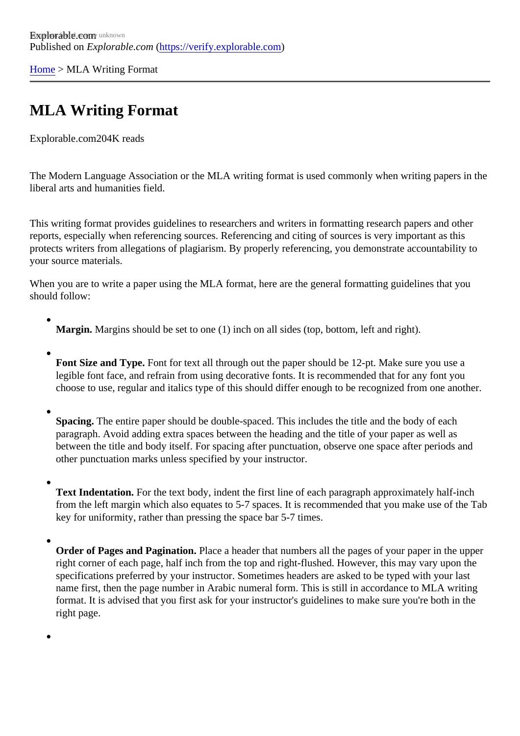[Home](https://verify.explorable.com/)> MLA Writing Format

# MLA Writing Format

Explorable.cor@04K reads

The Modern Language Association or the MLA writing format is used commonly when writing papers in the liberal arts and humanities field.

This writing format provides guidelines to researchers and writers in formatting research papers and other reports, especially when referencing sources. Referencing and citing of sources is very important as this protects writers from allegations of plagiarism. By properly referencing, you demonstrate accountability to your source materials.

When you are to write a paper using the MLA format, here are the general formatting guidelines that you should follow:

- Margin. Margins should be set to one (1) inch on all sides (top, bottom, left and right).
- Font Size and Type Font for text all through out the paper should be 12-pt. Make sure you use a legible font face, and refrain from using decorative fonts. It is recommended that for any font you choose to use, regular and italics type of this should differ enough to be recognized from one another
- Spacing. The entire paper should be double-spaced. This includes the title and the body of each paragraph. Avoid adding extra spaces between the heading and the title of your paper as well as between the title and body itself. For spacing after punctuation, observe one space after periods and other punctuation marks unless specified by your instructor.
- Text Indentation. For the text body, indent the first line of each paragraph approximately half-inch from the left margin which also equates to 5-7 spaces. It is recommended that you make use of the key for uniformity, rather than pressing the space bar 5-7 times.
- Order of Pages and PaginationPlace a header that numbers all the pages of your paper in the upper right corner of each page, half inch from the top and right-flushed. However, this may vary upon the specifications preferred by your instructor. Sometimes headers are asked to be typed with your last name first, then the page number in Arabic numeral form. This is still in accordance to MLA writing format. It is advised that you first ask for your instructor's guidelines to make sure you're both in the right page.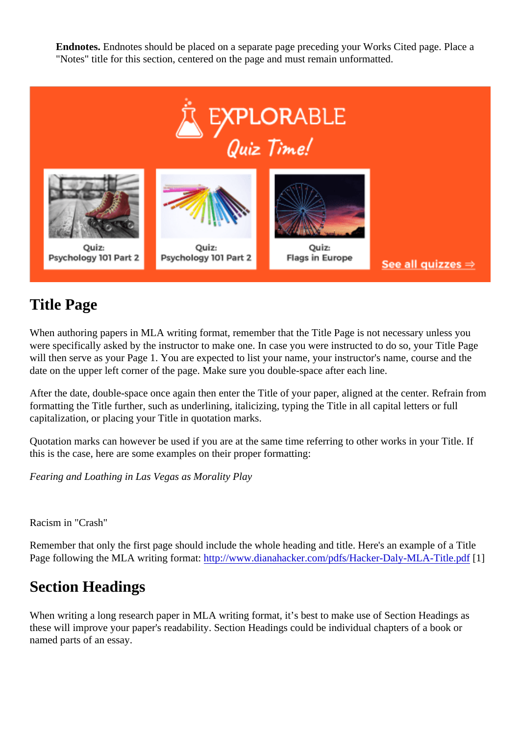Endnotes. Endnotes should be placed on a separate page preceding your Works Cited page. Place a "Notes" title for this section, centered on the page and must remain unformatted.

## Title Page

When authoring papers in MLA writing format, remember that the Title Page is not necessary unless you were specifically asked by the instructor to make one. In case you were instructed to do so, your Title Pag will then serve as your Page 1. You are expected to list your name, your instructor's name, course and the date on the upper left corner of the page. Make sure you double-space after each line.

After the date, double-space once again then enter the Title of your paper, aligned at the center. Refrain from formatting the Title further, such as underlining, italicizing, typing the Title in all capital letters or full capitalization, or placing your Title in quotation marks.

Quotation marks can however be used if you are at the same time referring to other works in your Title. If this is the case, here are some examples on their proper formatting:

Fearing and Loathing in Las Vegas as Morality Play

Racism in "Crash"

Remember that only the first page should include the whole heading and title. Here's an example of a Title Page following the MLA writing formathttp://www.dianahacker.com/pdfs/Hacker-Daly-MLA-Title.pdf

## Section Headings

When writing a long research paper in MLA writing format, it's best to make use of Section Headings as these will improve your paper's readability. Section Headings could be individual chapters of a book or named parts of an essay.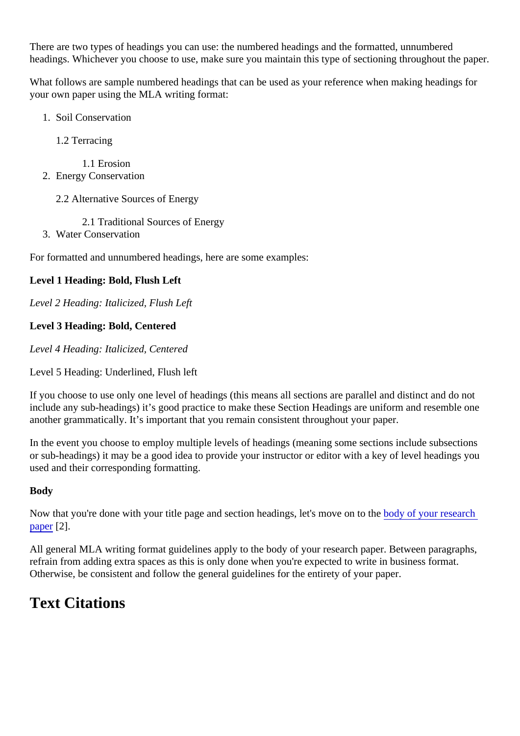There are two types of headings you can use: the numbered headings and the formatted, unnumbered headings. Whichever you choose to use, make sure you maintain this type of sectioning throughout the pa

What follows are sample numbered headings that can be used as your reference when making headings for your own paper using the MLA writing format:

- 1. Soil Conservation
	- 1.2 Terracing
		- 1.1 Erosion
- 2. Energy Conservation
	- 2.2 Alternative Sources of Energy
		- 2.1 Traditional Sources of Energy
- 3. Water Conservation

For formatted and unnumbered headings, here are some examples:

Level 1 Heading: Bold, Flush Left

Level 2 Heading: Italicized, Flush Left

- Level 3 Heading: Bold, Centered
- Level 4 Heading: Italicized, Centered
- Level 5 Heading: Underlined, Flush left

If you choose to use only one level of headings (this means all sections are parallel and distinct and do no include any sub-headings) it's good practice to make these Section Headings are uniform and resemble o another grammatically. It's important that you remain consistent throughout your paper.

In the event you choose to employ multiple levels of headings (meaning some sections include subsections or sub-headings) it may be a good idea to provide your instructor or editor with a key of level headings you used and their corresponding formatting.

### Body

Now that you're done with your title page and section headings, let's move or to the your research [paper](https://explorable.com/parts-of-a-research-paper)[2].

All general MLA writing format guidelines apply to the body of your research paper. Between paragraphs, refrain from adding extra spaces as this is only done when you're expected to write in business format. Otherwise, be consistent and follow the general guidelines for the entirety of your paper.

## Text Citations